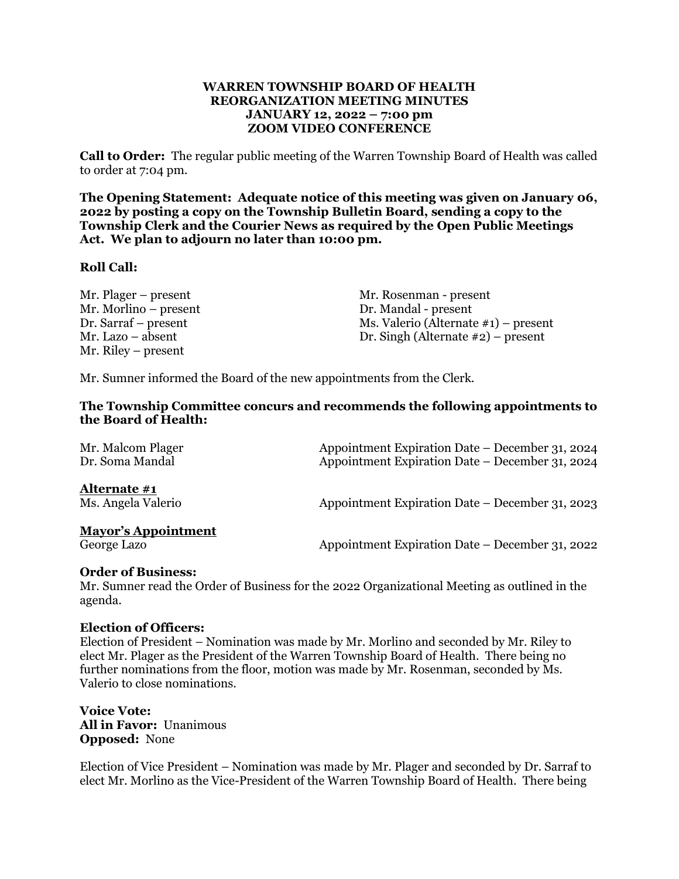### **WARREN TOWNSHIP BOARD OF HEALTH REORGANIZATION MEETING MINUTES JANUARY 12, 2022 – 7:00 pm ZOOM VIDEO CONFERENCE**

**Call to Order:** The regular public meeting of the Warren Township Board of Health was called to order at 7:04 pm.

**The Opening Statement: Adequate notice of this meeting was given on January 06, 2022 by posting a copy on the Township Bulletin Board, sending a copy to the Township Clerk and the Courier News as required by the Open Public Meetings Act. We plan to adjourn no later than 10:00 pm.**

### **Roll Call:**

Mr. Morlino – present Dr. Mandal - present Mr. Riley – present

Mr. Plager – present Mr. Rosenman - present Dr. Sarraf – present Ms. Valerio (Alternate #1) – present Mr. Lazo – absent Dr. Singh (Alternate #2) – present

Mr. Sumner informed the Board of the new appointments from the Clerk.

### **The Township Committee concurs and recommends the following appointments to the Board of Health:**

| Mr. Malcom Plager<br>Dr. Soma Mandal      | Appointment Expiration Date – December 31, 2024<br>Appointment Expiration Date – December 31, 2024 |
|-------------------------------------------|----------------------------------------------------------------------------------------------------|
| Alternate #1<br>Ms. Angela Valerio        | Appointment Expiration Date – December 31, 2023                                                    |
| <b>Mayor's Appointment</b><br>George Lazo | Appointment Expiration Date – December 31, 2022                                                    |

#### **Order of Business:**

Mr. Sumner read the Order of Business for the 2022 Organizational Meeting as outlined in the agenda.

#### **Election of Officers:**

Election of President – Nomination was made by Mr. Morlino and seconded by Mr. Riley to elect Mr. Plager as the President of the Warren Township Board of Health. There being no further nominations from the floor, motion was made by Mr. Rosenman, seconded by Ms. Valerio to close nominations.

**Voice Vote: All in Favor:** Unanimous **Opposed:** None

Election of Vice President – Nomination was made by Mr. Plager and seconded by Dr. Sarraf to elect Mr. Morlino as the Vice-President of the Warren Township Board of Health. There being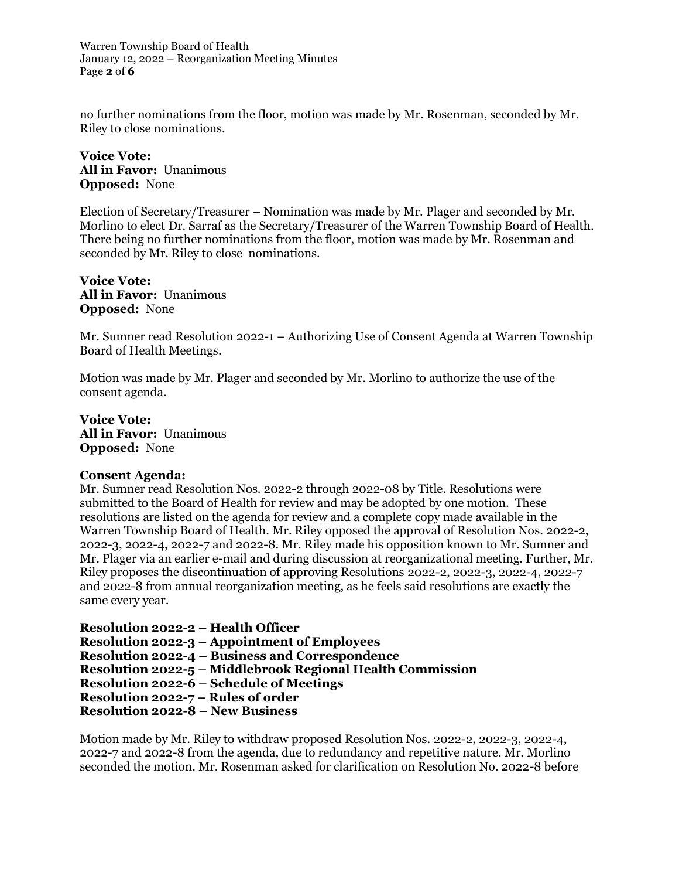Warren Township Board of Health January 12, 2022 – Reorganization Meeting Minutes Page **2** of **6**

no further nominations from the floor, motion was made by Mr. Rosenman, seconded by Mr. Riley to close nominations.

**Voice Vote: All in Favor:** Unanimous **Opposed:** None

Election of Secretary/Treasurer – Nomination was made by Mr. Plager and seconded by Mr. Morlino to elect Dr. Sarraf as the Secretary/Treasurer of the Warren Township Board of Health. There being no further nominations from the floor, motion was made by Mr. Rosenman and seconded by Mr. Riley to close nominations.

**Voice Vote: All in Favor:** Unanimous **Opposed:** None

Mr. Sumner read Resolution 2022-1 – Authorizing Use of Consent Agenda at Warren Township Board of Health Meetings.

Motion was made by Mr. Plager and seconded by Mr. Morlino to authorize the use of the consent agenda.

**Voice Vote: All in Favor:** Unanimous **Opposed:** None

#### **Consent Agenda:**

Mr. Sumner read Resolution Nos. 2022-2 through 2022-08 by Title. Resolutions were submitted to the Board of Health for review and may be adopted by one motion. These resolutions are listed on the agenda for review and a complete copy made available in the Warren Township Board of Health. Mr. Riley opposed the approval of Resolution Nos. 2022-2, 2022-3, 2022-4, 2022-7 and 2022-8. Mr. Riley made his opposition known to Mr. Sumner and Mr. Plager via an earlier e-mail and during discussion at reorganizational meeting. Further, Mr. Riley proposes the discontinuation of approving Resolutions 2022-2, 2022-3, 2022-4, 2022-7 and 2022-8 from annual reorganization meeting, as he feels said resolutions are exactly the same every year.

**Resolution 2022-2 – Health Officer**

**Resolution 2022-3 – Appointment of Employees**

**Resolution 2022-4 – Business and Correspondence**

**Resolution 2022-5 – Middlebrook Regional Health Commission**

**Resolution 2022-6 – Schedule of Meetings**

**Resolution 2022-7 – Rules of order**

**Resolution 2022-8 – New Business**

Motion made by Mr. Riley to withdraw proposed Resolution Nos. 2022-2, 2022-3, 2022-4, 2022-7 and 2022-8 from the agenda, due to redundancy and repetitive nature. Mr. Morlino seconded the motion. Mr. Rosenman asked for clarification on Resolution No. 2022-8 before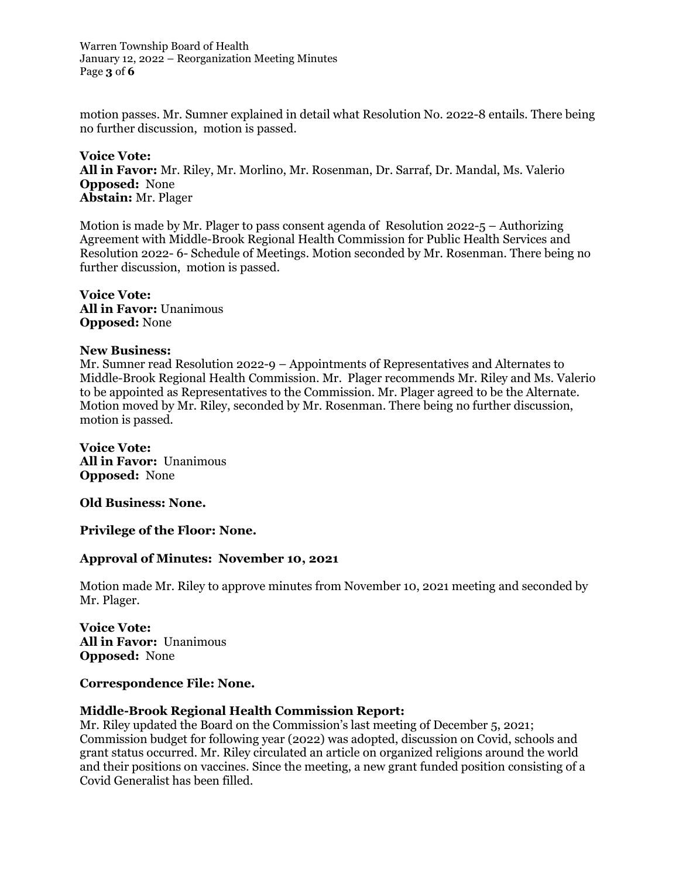Warren Township Board of Health January 12, 2022 – Reorganization Meeting Minutes Page **3** of **6**

motion passes. Mr. Sumner explained in detail what Resolution No. 2022-8 entails. There being no further discussion, motion is passed.

**Voice Vote: All in Favor:** Mr. Riley, Mr. Morlino, Mr. Rosenman, Dr. Sarraf, Dr. Mandal, Ms. Valerio **Opposed:** None **Abstain:** Mr. Plager

Motion is made by Mr. Plager to pass consent agenda of Resolution 2022-5 – Authorizing Agreement with Middle-Brook Regional Health Commission for Public Health Services and Resolution 2022- 6- Schedule of Meetings. Motion seconded by Mr. Rosenman. There being no further discussion, motion is passed.

**Voice Vote: All in Favor:** Unanimous **Opposed:** None

#### **New Business:**

Mr. Sumner read Resolution 2022-9 – Appointments of Representatives and Alternates to Middle-Brook Regional Health Commission. Mr. Plager recommends Mr. Riley and Ms. Valerio to be appointed as Representatives to the Commission. Mr. Plager agreed to be the Alternate. Motion moved by Mr. Riley, seconded by Mr. Rosenman. There being no further discussion, motion is passed.

**Voice Vote: All in Favor:** Unanimous **Opposed:** None

**Old Business: None.**

**Privilege of the Floor: None.**

#### **Approval of Minutes: November 10, 2021**

Motion made Mr. Riley to approve minutes from November 10, 2021 meeting and seconded by Mr. Plager.

**Voice Vote: All in Favor:** Unanimous **Opposed:** None

#### **Correspondence File: None.**

#### **Middle-Brook Regional Health Commission Report:**

Mr. Riley updated the Board on the Commission's last meeting of December 5, 2021; Commission budget for following year (2022) was adopted, discussion on Covid, schools and grant status occurred. Mr. Riley circulated an article on organized religions around the world and their positions on vaccines. Since the meeting, a new grant funded position consisting of a Covid Generalist has been filled.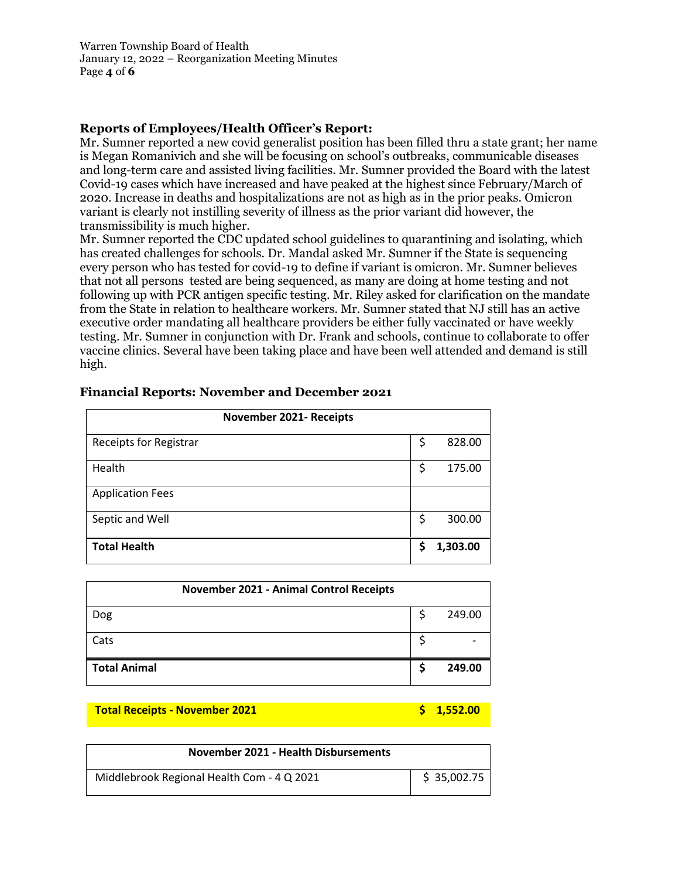Warren Township Board of Health January 12, 2022 – Reorganization Meeting Minutes Page **4** of **6**

# **Reports of Employees/Health Officer's Report:**

Mr. Sumner reported a new covid generalist position has been filled thru a state grant; her name is Megan Romanivich and she will be focusing on school's outbreaks, communicable diseases and long-term care and assisted living facilities. Mr. Sumner provided the Board with the latest Covid-19 cases which have increased and have peaked at the highest since February/March of 2020. Increase in deaths and hospitalizations are not as high as in the prior peaks. Omicron variant is clearly not instilling severity of illness as the prior variant did however, the transmissibility is much higher.

Mr. Sumner reported the CDC updated school guidelines to quarantining and isolating, which has created challenges for schools. Dr. Mandal asked Mr. Sumner if the State is sequencing every person who has tested for covid-19 to define if variant is omicron. Mr. Sumner believes that not all persons tested are being sequenced, as many are doing at home testing and not following up with PCR antigen specific testing. Mr. Riley asked for clarification on the mandate from the State in relation to healthcare workers. Mr. Sumner stated that NJ still has an active executive order mandating all healthcare providers be either fully vaccinated or have weekly testing. Mr. Sumner in conjunction with Dr. Frank and schools, continue to collaborate to offer vaccine clinics. Several have been taking place and have been well attended and demand is still high.

| November 2021- Receipts       |              |
|-------------------------------|--------------|
| <b>Receipts for Registrar</b> | \$<br>828.00 |
| Health                        | \$<br>175.00 |
| <b>Application Fees</b>       |              |
| Septic and Well               | \$<br>300.00 |
| <b>Total Health</b>           | 1,303.00     |

### **Financial Reports: November and December 2021**

| <b>November 2021 - Animal Control Receipts</b> |        |
|------------------------------------------------|--------|
| Dog                                            | 249.00 |
| Cats                                           |        |
| <b>Total Animal</b>                            | 249.00 |

#### **Total Receipts - November 2021 1,552.00 \$ 1,552.00**

| November 2021 - Health Disbursements       |             |
|--------------------------------------------|-------------|
| Middlebrook Regional Health Com - 4 Q 2021 | \$35,002.75 |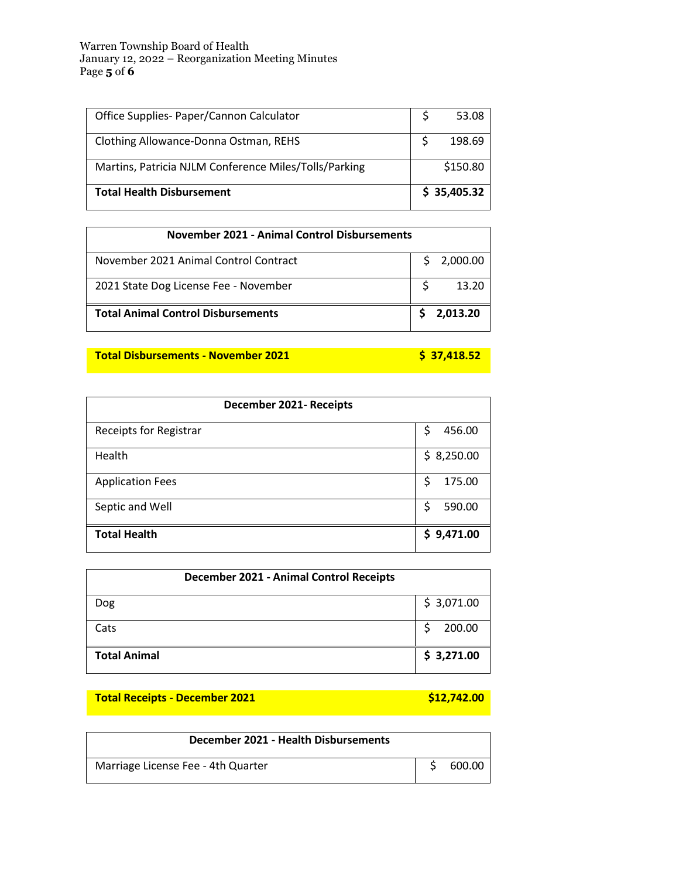#### Warren Township Board of Health January 12, 2022 – Reorganization Meeting Minutes Page **5** of **6**

| Office Supplies- Paper/Cannon Calculator              |  | 53.08       |
|-------------------------------------------------------|--|-------------|
| Clothing Allowance-Donna Ostman, REHS                 |  | 198.69      |
| Martins, Patricia NJLM Conference Miles/Tolls/Parking |  | \$150.80    |
| <b>Total Health Disbursement</b>                      |  | \$35,405.32 |

| November 2021 - Animal Control Disbursements |  |            |
|----------------------------------------------|--|------------|
| November 2021 Animal Control Contract        |  | \$2,000.00 |
| 2021 State Dog License Fee - November        |  | 13.20      |
| <b>Total Animal Control Disbursements</b>    |  | 2.013.20   |

# **Total Disbursements - November 2021 \$ 37,418.52**

| December 2021- Receipts       |              |
|-------------------------------|--------------|
| <b>Receipts for Registrar</b> | 456.00<br>S  |
| Health                        | \$3,250.00   |
| <b>Application Fees</b>       | 175.00<br>\$ |
| Septic and Well               | 590.00<br>S  |
| <b>Total Health</b>           | \$9,471.00   |

| December 2021 - Animal Control Receipts |            |
|-----------------------------------------|------------|
| Dog                                     | \$3,071.00 |
| Cats                                    | 200.00     |
| <b>Total Animal</b>                     | \$3,271.00 |

**Total Receipts - December 2021 1999 12:00 \$12,742.00** 

| December 2021 - Health Disbursements |        |
|--------------------------------------|--------|
| Marriage License Fee - 4th Quarter   | 600.00 |